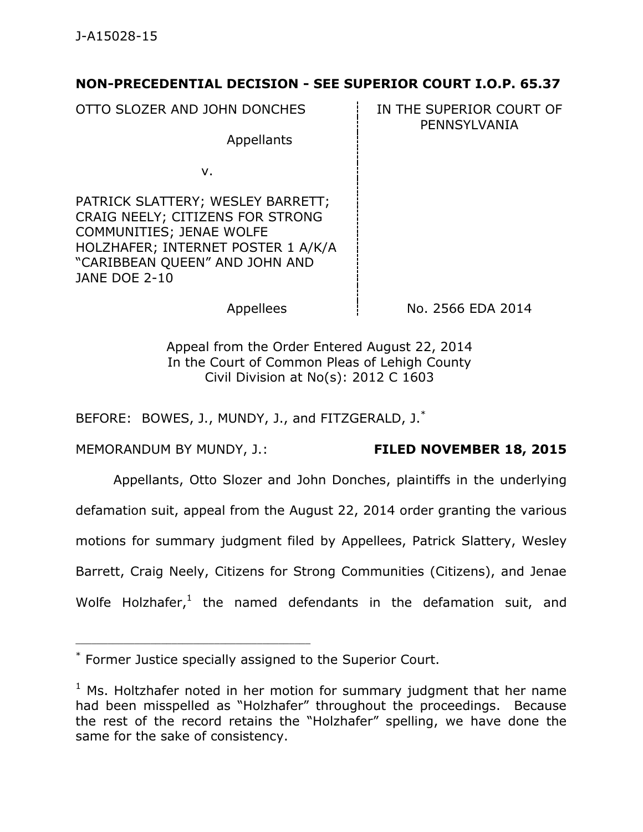## **NON-PRECEDENTIAL DECISION - SEE SUPERIOR COURT I.O.P. 65.37**

OTTO SLOZER AND JOHN DONCHES **IN THE SUPERIOR COURT OF** 

Appellants

PENNSYLVANIA

v.

PATRICK SLATTERY; WESLEY BARRETT; CRAIG NEELY; CITIZENS FOR STRONG COMMUNITIES; JENAE WOLFE HOLZHAFER; INTERNET POSTER 1 A/K/A "CARIBBEAN QUEEN" AND JOHN AND JANE DOE 2-10

Appellees  $\vert$  No. 2566 EDA 2014

Appeal from the Order Entered August 22, 2014 In the Court of Common Pleas of Lehigh County Civil Division at No(s): 2012 C 1603

BEFORE: BOWES, J., MUNDY, J., and FITZGERALD, J.<sup>\*</sup>

MEMORANDUM BY MUNDY, J.: **FILED NOVEMBER 18, 2015**

\_\_\_\_\_\_\_\_\_\_\_\_\_\_\_\_\_\_\_\_\_\_\_\_\_\_\_\_\_\_\_\_\_\_\_\_\_\_\_\_\_\_\_\_

Appellants, Otto Slozer and John Donches, plaintiffs in the underlying

defamation suit, appeal from the August 22, 2014 order granting the various

motions for summary judgment filed by Appellees, Patrick Slattery, Wesley

Barrett, Craig Neely, Citizens for Strong Communities (Citizens), and Jenae

Wolfe Holzhafer,<sup>1</sup> the named defendants in the defamation suit, and

<sup>\*</sup> Former Justice specially assigned to the Superior Court.

 $1$  Ms. Holtzhafer noted in her motion for summary judgment that her name had been misspelled as "Holzhafer" throughout the proceedings. Because the rest of the record retains the "Holzhafer" spelling, we have done the same for the sake of consistency.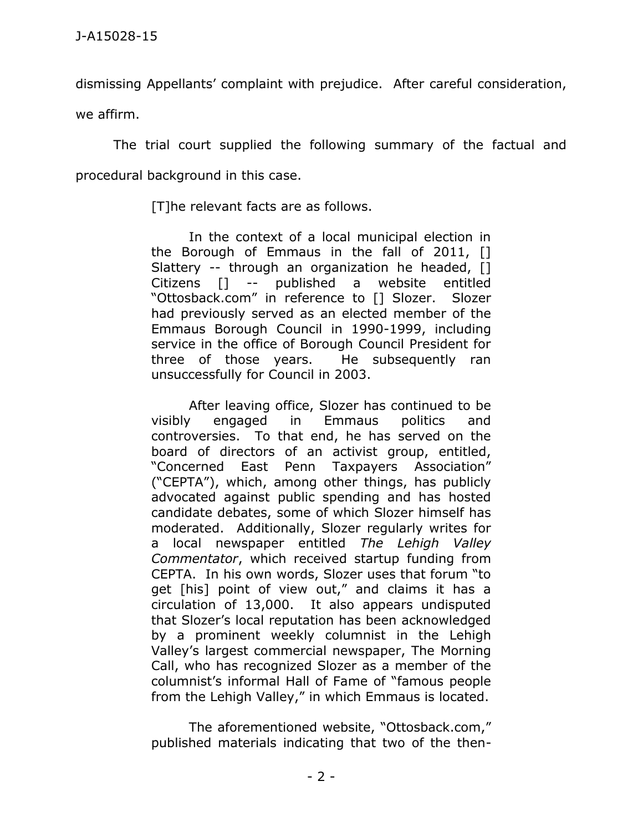dismissing Appellants' complaint with prejudice. After careful consideration,

we affirm.

The trial court supplied the following summary of the factual and procedural background in this case.

[T]he relevant facts are as follows.

In the context of a local municipal election in the Borough of Emmaus in the fall of 2011, [] Slattery -- through an organization he headed, [1] Citizens [] -- published a website entitled "Ottosback.com" in reference to [] Slozer. Slozer had previously served as an elected member of the Emmaus Borough Council in 1990-1999, including service in the office of Borough Council President for three of those years. He subsequently ran unsuccessfully for Council in 2003.

After leaving office, Slozer has continued to be visibly engaged in Emmaus politics and controversies. To that end, he has served on the board of directors of an activist group, entitled, "Concerned East Penn Taxpayers Association" ("CEPTA"), which, among other things, has publicly advocated against public spending and has hosted candidate debates, some of which Slozer himself has moderated. Additionally, Slozer regularly writes for a local newspaper entitled *The Lehigh Valley Commentator*, which received startup funding from CEPTA. In his own words, Slozer uses that forum "to get [his] point of view out," and claims it has a circulation of 13,000. It also appears undisputed that Slozer's local reputation has been acknowledged by a prominent weekly columnist in the Lehigh Valley's largest commercial newspaper, The Morning Call, who has recognized Slozer as a member of the columnist's informal Hall of Fame of "famous people from the Lehigh Valley," in which Emmaus is located.

The aforementioned website, "Ottosback.com," published materials indicating that two of the then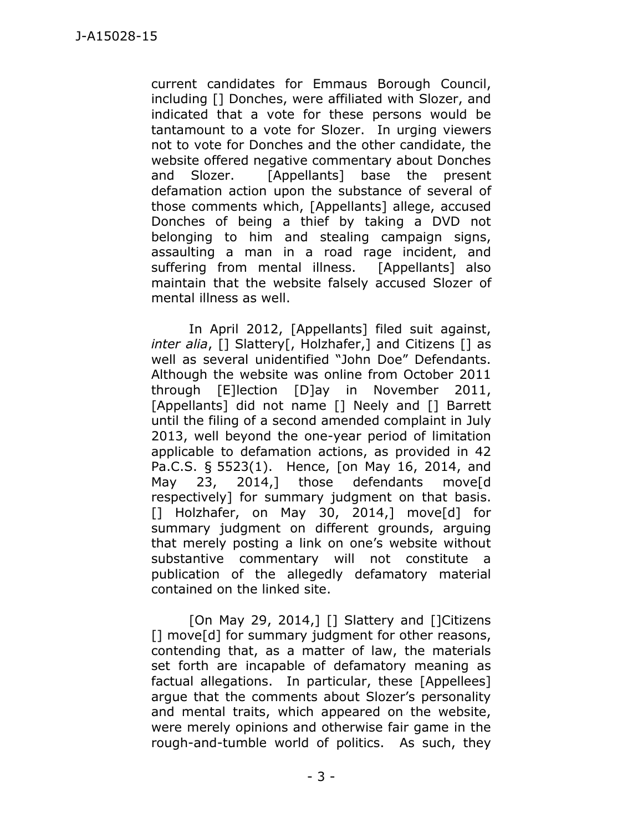current candidates for Emmaus Borough Council, including [] Donches, were affiliated with Slozer, and indicated that a vote for these persons would be tantamount to a vote for Slozer. In urging viewers not to vote for Donches and the other candidate, the website offered negative commentary about Donches and Slozer. [Appellants] base the present defamation action upon the substance of several of those comments which, [Appellants] allege, accused Donches of being a thief by taking a DVD not belonging to him and stealing campaign signs, assaulting a man in a road rage incident, and suffering from mental illness. [Appellants] also maintain that the website falsely accused Slozer of mental illness as well.

In April 2012, [Appellants] filed suit against, *inter alia*, [] Slattery[, Holzhafer,] and Citizens [] as well as several unidentified "John Doe" Defendants. Although the website was online from October 2011 through [E]lection [D]ay in November 2011, [Appellants] did not name [] Neely and [] Barrett until the filing of a second amended complaint in July 2013, well beyond the one-year period of limitation applicable to defamation actions, as provided in 42 Pa.C.S. § 5523(1). Hence, [on May 16, 2014, and May 23, 2014,] those defendants move<sup>[d]</sup> respectively] for summary judgment on that basis. [] Holzhafer, on May 30, 2014,] move[d] for summary judgment on different grounds, arguing that merely posting a link on one's website without substantive commentary will not constitute a publication of the allegedly defamatory material contained on the linked site.

[On May 29, 2014,] [] Slattery and []Citizens [] move[d] for summary judgment for other reasons, contending that, as a matter of law, the materials set forth are incapable of defamatory meaning as factual allegations. In particular, these [Appellees] argue that the comments about Slozer's personality and mental traits, which appeared on the website, were merely opinions and otherwise fair game in the rough-and-tumble world of politics. As such, they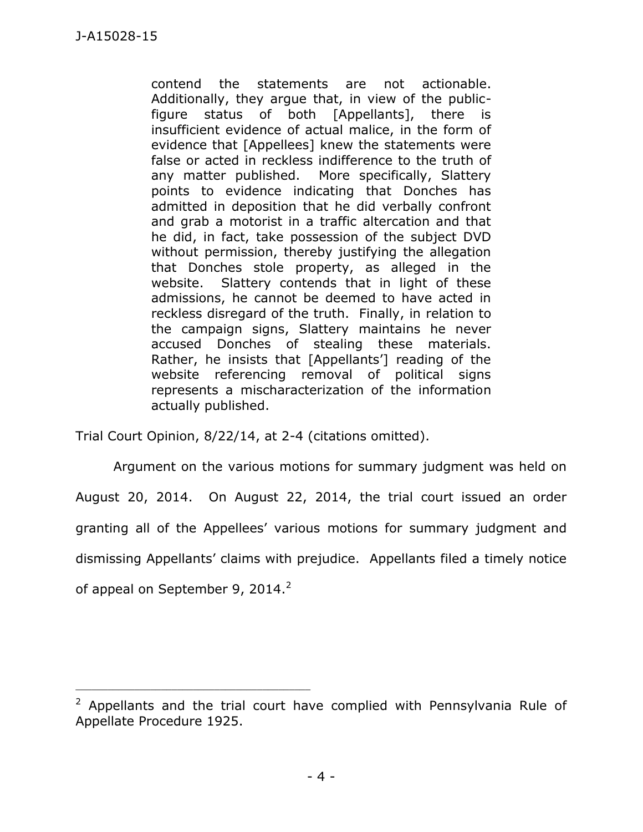contend the statements are not actionable. Additionally, they argue that, in view of the publicfigure status of both [Appellants], there is insufficient evidence of actual malice, in the form of evidence that [Appellees] knew the statements were false or acted in reckless indifference to the truth of any matter published. More specifically, Slattery points to evidence indicating that Donches has admitted in deposition that he did verbally confront and grab a motorist in a traffic altercation and that he did, in fact, take possession of the subject DVD without permission, thereby justifying the allegation that Donches stole property, as alleged in the website. Slattery contends that in light of these admissions, he cannot be deemed to have acted in reckless disregard of the truth. Finally, in relation to the campaign signs, Slattery maintains he never accused Donches of stealing these materials. Rather, he insists that [Appellants'] reading of the website referencing removal of political signs represents a mischaracterization of the information actually published.

Trial Court Opinion, 8/22/14, at 2-4 (citations omitted).

\_\_\_\_\_\_\_\_\_\_\_\_\_\_\_\_\_\_\_\_\_\_\_\_\_\_\_\_\_\_\_\_\_\_\_\_\_\_\_\_\_\_\_\_

Argument on the various motions for summary judgment was held on August 20, 2014. On August 22, 2014, the trial court issued an order granting all of the Appellees' various motions for summary judgment and dismissing Appellants' claims with prejudice. Appellants filed a timely notice of appeal on September 9, 2014. $^2$ 

 $2$  Appellants and the trial court have complied with Pennsylvania Rule of Appellate Procedure 1925.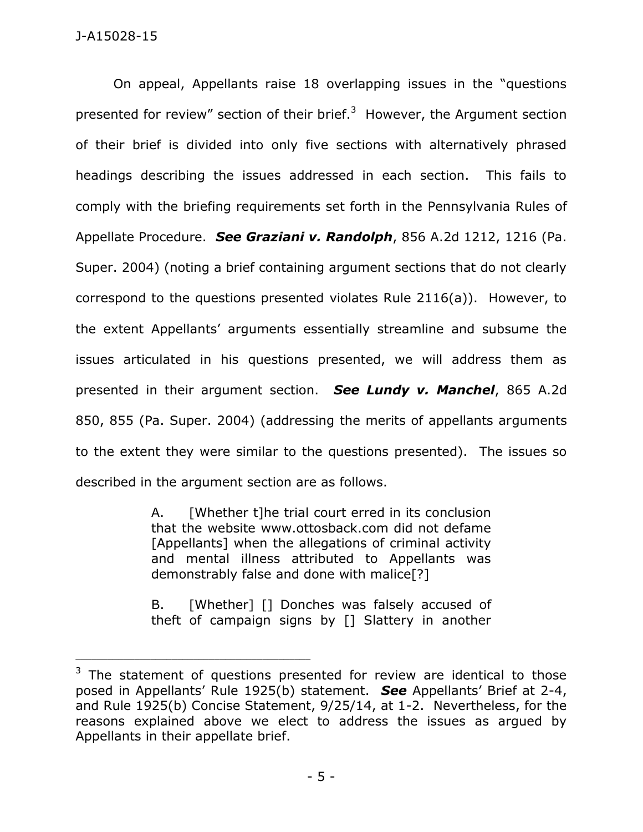On appeal, Appellants raise 18 overlapping issues in the "questions presented for review" section of their brief.<sup>3</sup> However, the Argument section of their brief is divided into only five sections with alternatively phrased headings describing the issues addressed in each section. This fails to comply with the briefing requirements set forth in the Pennsylvania Rules of Appellate Procedure. *See Graziani v. Randolph*, 856 A.2d 1212, 1216 (Pa. Super. 2004) (noting a brief containing argument sections that do not clearly correspond to the questions presented violates Rule 2116(a)). However, to the extent Appellants' arguments essentially streamline and subsume the issues articulated in his questions presented, we will address them as presented in their argument section. *See Lundy v. Manchel*, 865 A.2d 850, 855 (Pa. Super. 2004) (addressing the merits of appellants arguments to the extent they were similar to the questions presented). The issues so described in the argument section are as follows.

> A. [Whether t]he trial court erred in its conclusion that the website www.ottosback.com did not defame [Appellants] when the allegations of criminal activity and mental illness attributed to Appellants was demonstrably false and done with malice[?]

> B. [Whether] [] Donches was falsely accused of theft of campaign signs by [] Slattery in another

\_\_\_\_\_\_\_\_\_\_\_\_\_\_\_\_\_\_\_\_\_\_\_\_\_\_\_\_\_\_\_\_\_\_\_\_\_\_\_\_\_\_\_\_

 $3$  The statement of questions presented for review are identical to those posed in Appellants' Rule 1925(b) statement. *See* Appellants' Brief at 2-4, and Rule 1925(b) Concise Statement, 9/25/14, at 1-2. Nevertheless, for the reasons explained above we elect to address the issues as argued by Appellants in their appellate brief.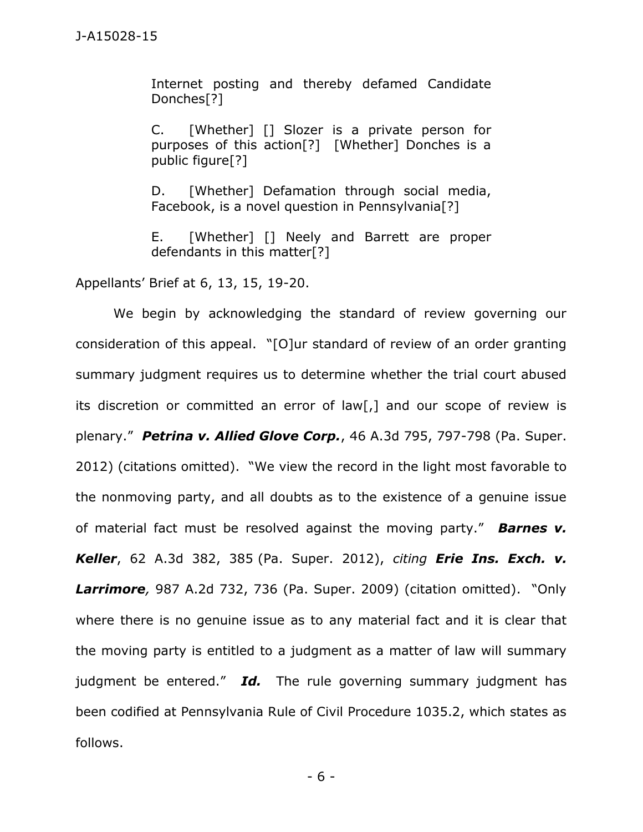Internet posting and thereby defamed Candidate Donches[?]

C. [Whether] [] Slozer is a private person for purposes of this action[?] [Whether] Donches is a public figure[?]

D. [Whether] Defamation through social media, Facebook, is a novel question in Pennsylvania[?]

E. [Whether] [] Neely and Barrett are proper defendants in this matter[?]

Appellants' Brief at 6, 13, 15, 19-20.

We begin by acknowledging the standard of review governing our consideration of this appeal. "[O]ur standard of review of an order granting summary judgment requires us to determine whether the trial court abused its discretion or committed an error of law[,] and our scope of review is plenary." *Petrina v. Allied Glove Corp.*, 46 A.3d 795, 797-798 (Pa. Super. 2012) (citations omitted). "We view the record in the light most favorable to the nonmoving party, and all doubts as to the existence of a genuine issue of material fact must be resolved against the moving party." *Barnes v. Keller*, 62 A.3d 382, 385 (Pa. Super. 2012), *citing Erie Ins. Exch. v. Larrimore,* 987 A.2d 732, 736 (Pa. Super. 2009) (citation omitted). "Only where there is no genuine issue as to any material fact and it is clear that the moving party is entitled to a judgment as a matter of law will summary judgment be entered." Id. The rule governing summary judgment has been codified at Pennsylvania Rule of Civil Procedure 1035.2, which states as follows.

- 6 -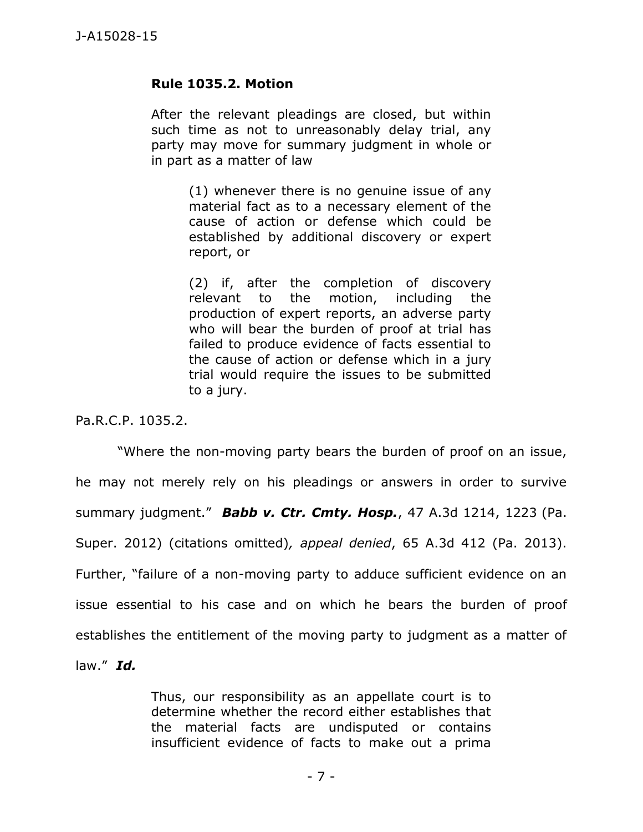## **Rule 1035.2. Motion**

After the relevant pleadings are closed, but within such time as not to unreasonably delay trial, any party may move for summary judgment in whole or in part as a matter of law

> (1) whenever there is no genuine issue of any material fact as to a necessary element of the cause of action or defense which could be established by additional discovery or expert report, or

> (2) if, after the completion of discovery relevant to the motion, including the production of expert reports, an adverse party who will bear the burden of proof at trial has failed to produce evidence of facts essential to the cause of action or defense which in a jury trial would require the issues to be submitted to a jury.

Pa.R.C.P. 1035.2.

"Where the non-moving party bears the burden of proof on an issue, he may not merely rely on his pleadings or answers in order to survive summary judgment." *Babb v. Ctr. Cmty. Hosp.*, 47 A.3d 1214, 1223 (Pa. Super. 2012) (citations omitted)*, appeal denied*, 65 A.3d 412 (Pa. 2013). Further, "failure of a non-moving party to adduce sufficient evidence on an issue essential to his case and on which he bears the burden of proof establishes the entitlement of the moving party to judgment as a matter of law." *Id.*

> Thus, our responsibility as an appellate court is to determine whether the record either establishes that the material facts are undisputed or contains insufficient evidence of facts to make out a prima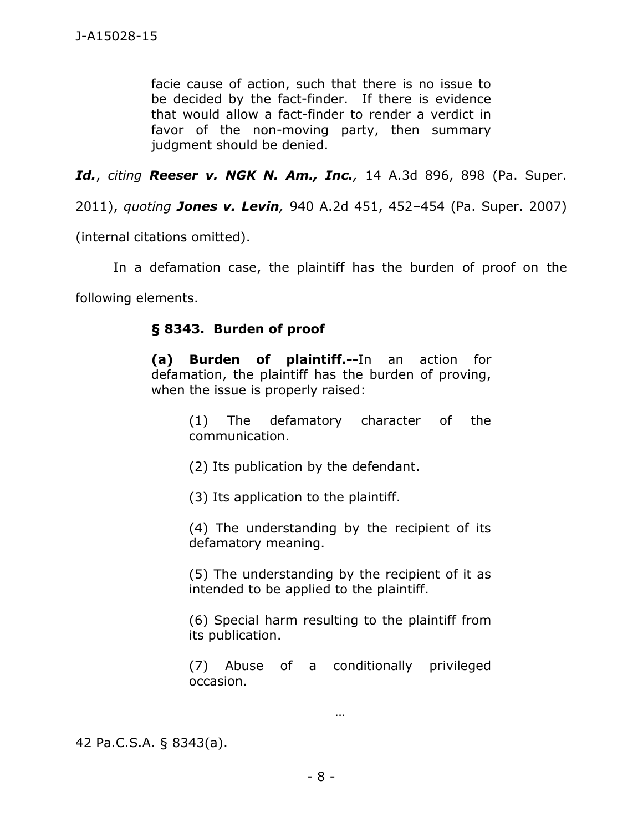facie cause of action, such that there is no issue to be decided by the fact-finder. If there is evidence that would allow a fact-finder to render a verdict in favor of the non-moving party, then summary judgment should be denied.

*Id.*, *citing Reeser v. NGK N. Am., Inc.,* 14 A.3d 896, 898 (Pa. Super.

2011), *quoting Jones v. Levin,* 940 A.2d 451, 452–454 (Pa. Super. 2007)

(internal citations omitted).

In a defamation case, the plaintiff has the burden of proof on the

following elements.

## **§ 8343. Burden of proof**

**(a) Burden of plaintiff.--**In an action for defamation, the plaintiff has the burden of proving, when the issue is properly raised:

> (1) The defamatory character of the communication.

(2) Its publication by the defendant.

(3) Its application to the plaintiff.

(4) The understanding by the recipient of its defamatory meaning.

(5) The understanding by the recipient of it as intended to be applied to the plaintiff.

(6) Special harm resulting to the plaintiff from its publication.

(7) Abuse of a conditionally privileged occasion.

…

42 Pa.C.S.A. § 8343(a).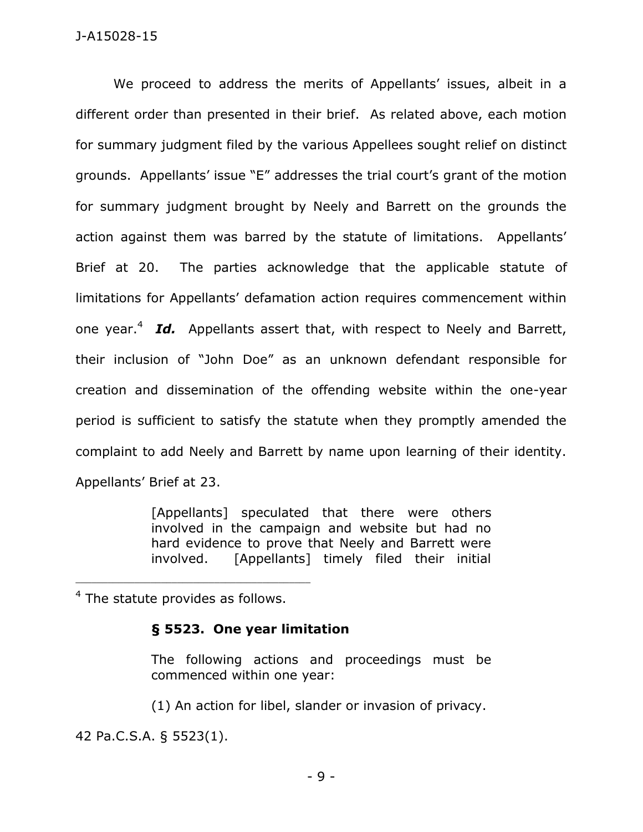### J-A15028-15

We proceed to address the merits of Appellants' issues, albeit in a different order than presented in their brief. As related above, each motion for summary judgment filed by the various Appellees sought relief on distinct grounds. Appellants' issue "E" addresses the trial court's grant of the motion for summary judgment brought by Neely and Barrett on the grounds the action against them was barred by the statute of limitations. Appellants' Brief at 20. The parties acknowledge that the applicable statute of limitations for Appellants' defamation action requires commencement within one year.<sup>4</sup> Id. Appellants assert that, with respect to Neely and Barrett, their inclusion of "John Doe" as an unknown defendant responsible for creation and dissemination of the offending website within the one-year period is sufficient to satisfy the statute when they promptly amended the complaint to add Neely and Barrett by name upon learning of their identity. Appellants' Brief at 23.

> [Appellants] speculated that there were others involved in the campaign and website but had no hard evidence to prove that Neely and Barrett were involved. [Appellants] timely filed their initial

 $4$  The statute provides as follows.

### **§ 5523. One year limitation**

The following actions and proceedings must be commenced within one year:

(1) An action for libel, slander or invasion of privacy.

42 Pa.C.S.A. § 5523(1).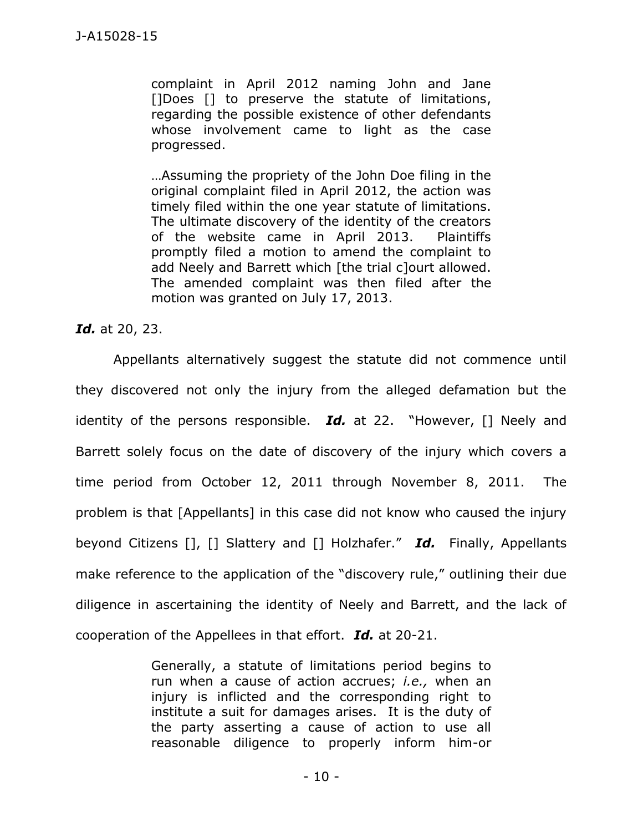complaint in April 2012 naming John and Jane []Does [] to preserve the statute of limitations, regarding the possible existence of other defendants whose involvement came to light as the case progressed.

…Assuming the propriety of the John Doe filing in the original complaint filed in April 2012, the action was timely filed within the one year statute of limitations. The ultimate discovery of the identity of the creators of the website came in April 2013. Plaintiffs promptly filed a motion to amend the complaint to add Neely and Barrett which [the trial c]ourt allowed. The amended complaint was then filed after the motion was granted on July 17, 2013.

*Id.* at 20, 23.

Appellants alternatively suggest the statute did not commence until they discovered not only the injury from the alleged defamation but the identity of the persons responsible. *Id.* at 22. "However, [] Neely and Barrett solely focus on the date of discovery of the injury which covers a time period from October 12, 2011 through November 8, 2011. The problem is that [Appellants] in this case did not know who caused the injury beyond Citizens [], [] Slattery and [] Holzhafer." *Id.* Finally, Appellants make reference to the application of the "discovery rule," outlining their due diligence in ascertaining the identity of Neely and Barrett, and the lack of cooperation of the Appellees in that effort. *Id.* at 20-21.

> Generally, a statute of limitations period begins to run when a cause of action accrues; *i.e.,* when an injury is inflicted and the corresponding right to institute a suit for damages arises. It is the duty of the party asserting a cause of action to use all reasonable diligence to properly inform him-or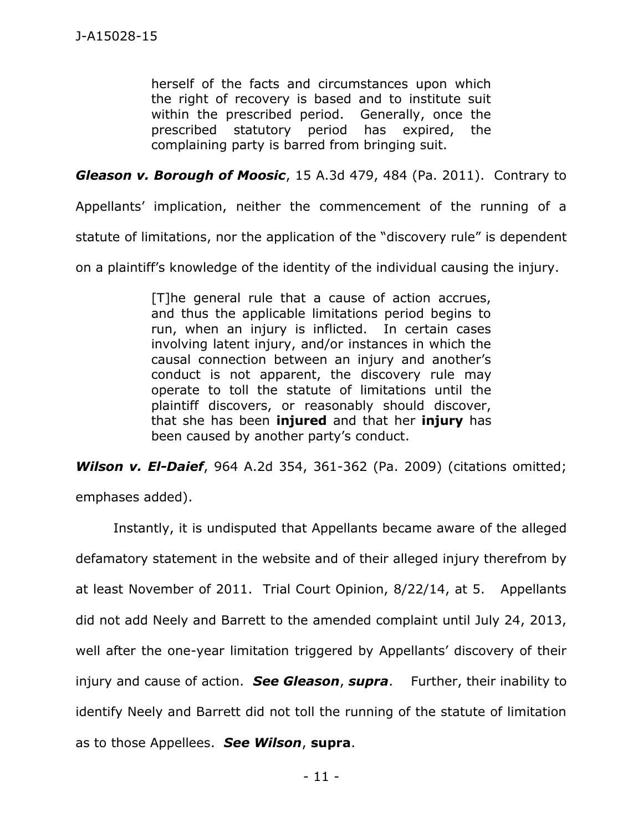herself of the facts and circumstances upon which the right of recovery is based and to institute suit within the prescribed period. Generally, once the prescribed statutory period has expired, the complaining party is barred from bringing suit.

*Gleason v. Borough of Moosic*, 15 A.3d 479, 484 (Pa. 2011). Contrary to

Appellants' implication, neither the commencement of the running of a

statute of limitations, nor the application of the "discovery rule" is dependent

on a plaintiff's knowledge of the identity of the individual causing the injury.

[T]he general rule that a cause of action accrues, and thus the applicable limitations period begins to run, when an injury is inflicted. In certain cases involving latent injury, and/or instances in which the causal connection between an injury and another's conduct is not apparent, the discovery rule may operate to toll the statute of limitations until the plaintiff discovers, or reasonably should discover, that she has been **injured** and that her **injury** has been caused by another party's conduct.

*Wilson v. El-Daief*, 964 A.2d 354, 361-362 (Pa. 2009) (citations omitted; emphases added).

Instantly, it is undisputed that Appellants became aware of the alleged defamatory statement in the website and of their alleged injury therefrom by at least November of 2011. Trial Court Opinion, 8/22/14, at 5. Appellants did not add Neely and Barrett to the amended complaint until July 24, 2013, well after the one-year limitation triggered by Appellants' discovery of their injury and cause of action. *See Gleason*, *supra*. Further, their inability to identify Neely and Barrett did not toll the running of the statute of limitation as to those Appellees. *See Wilson*, **supra**.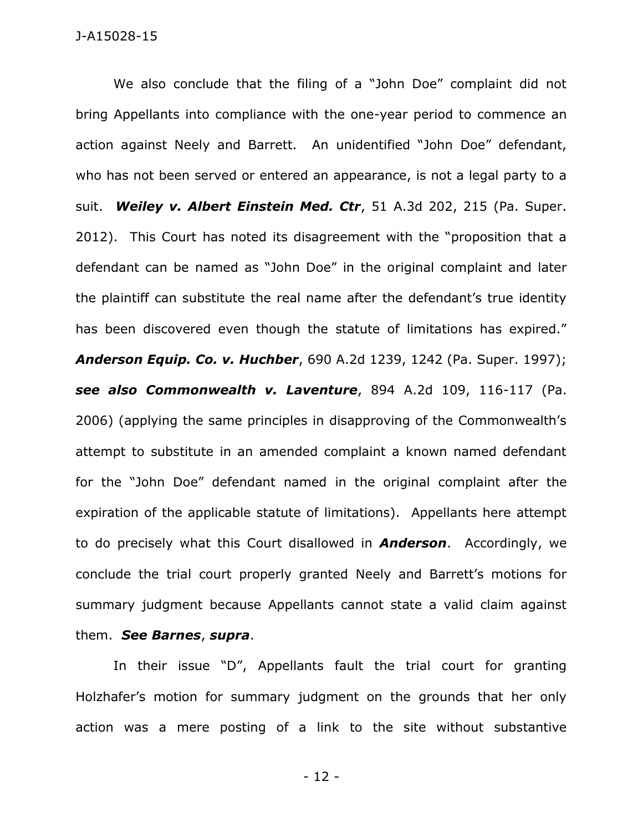We also conclude that the filing of a "John Doe" complaint did not bring Appellants into compliance with the one-year period to commence an action against Neely and Barrett. An unidentified "John Doe" defendant, who has not been served or entered an appearance, is not a legal party to a suit. *Weiley v. Albert Einstein Med. Ctr*, 51 A.3d 202, 215 (Pa. Super. 2012). This Court has noted its disagreement with the "proposition that a defendant can be named as "John Doe" in the original complaint and later the plaintiff can substitute the real name after the defendant's true identity has been discovered even though the statute of limitations has expired." *Anderson Equip. Co. v. Huchber*, 690 A.2d 1239, 1242 (Pa. Super. 1997); *see also Commonwealth v. Laventure*, 894 A.2d 109, 116-117 (Pa. 2006) (applying the same principles in disapproving of the Commonwealth's attempt to substitute in an amended complaint a known named defendant for the "John Doe" defendant named in the original complaint after the expiration of the applicable statute of limitations). Appellants here attempt to do precisely what this Court disallowed in *Anderson*. Accordingly, we conclude the trial court properly granted Neely and Barrett's motions for summary judgment because Appellants cannot state a valid claim against them. *See Barnes*, *supra*.

In their issue "D", Appellants fault the trial court for granting Holzhafer's motion for summary judgment on the grounds that her only action was a mere posting of a link to the site without substantive

- 12 -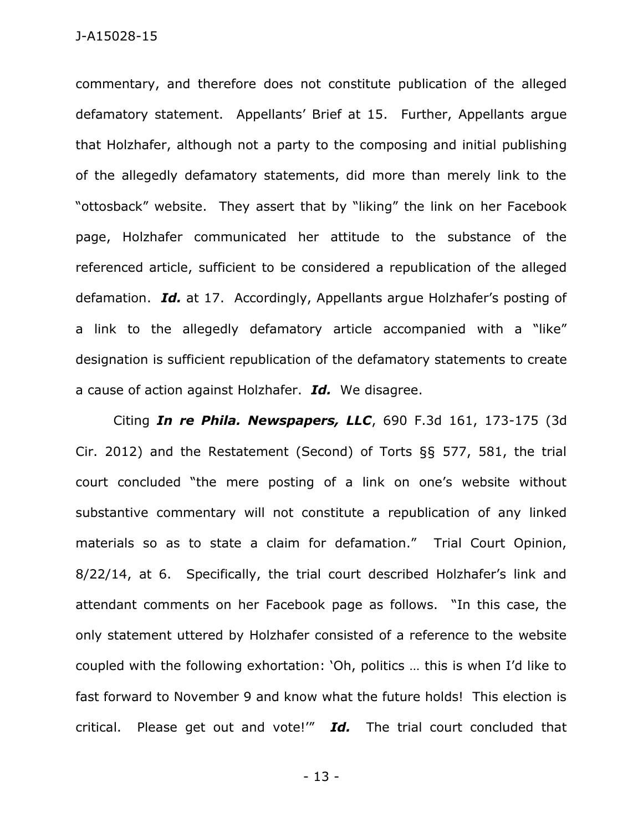commentary, and therefore does not constitute publication of the alleged defamatory statement. Appellants' Brief at 15. Further, Appellants argue that Holzhafer, although not a party to the composing and initial publishing of the allegedly defamatory statements, did more than merely link to the "ottosback" website. They assert that by "liking" the link on her Facebook page, Holzhafer communicated her attitude to the substance of the referenced article, sufficient to be considered a republication of the alleged defamation. *Id.* at 17. Accordingly, Appellants argue Holzhafer's posting of a link to the allegedly defamatory article accompanied with a "like" designation is sufficient republication of the defamatory statements to create a cause of action against Holzhafer. *Id.* We disagree.

Citing *In re Phila. Newspapers, LLC*, 690 F.3d 161, 173-175 (3d Cir. 2012) and the Restatement (Second) of Torts §§ 577, 581, the trial court concluded "the mere posting of a link on one's website without substantive commentary will not constitute a republication of any linked materials so as to state a claim for defamation." Trial Court Opinion, 8/22/14, at 6. Specifically, the trial court described Holzhafer's link and attendant comments on her Facebook page as follows. "In this case, the only statement uttered by Holzhafer consisted of a reference to the website coupled with the following exhortation: 'Oh, politics … this is when I'd like to fast forward to November 9 and know what the future holds! This election is critical. Please get out and vote!'" *Id.* The trial court concluded that

- 13 -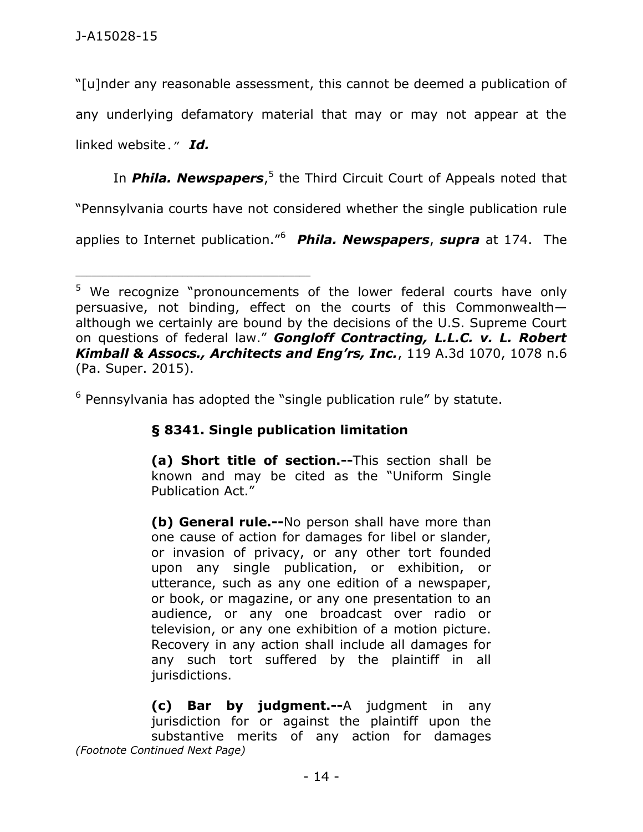"[u]nder any reasonable assessment, this cannot be deemed a publication of any underlying defamatory material that may or may not appear at the linked website." *Id.*

In **Phila. Newspapers**,<sup>5</sup> the Third Circuit Court of Appeals noted that

"Pennsylvania courts have not considered whether the single publication rule

applies to Internet publication."<sup>6</sup> *Phila. Newspapers*, *supra* at 174. The

 $6$  Pennsylvania has adopted the "single publication rule" by statute.

# **§ 8341. Single publication limitation**

**(a) Short title of section.--**This section shall be known and may be cited as the "Uniform Single Publication Act."

**(b) General rule.--**No person shall have more than one cause of action for damages for libel or slander, or invasion of privacy, or any other tort founded upon any single publication, or exhibition, or utterance, such as any one edition of a newspaper, or book, or magazine, or any one presentation to an audience, or any one broadcast over radio or television, or any one exhibition of a motion picture. Recovery in any action shall include all damages for any such tort suffered by the plaintiff in all jurisdictions.

**(c) Bar by judgment.--**A judgment in any jurisdiction for or against the plaintiff upon the substantive merits of any action for damages *(Footnote Continued Next Page)*

<sup>&</sup>lt;sup>5</sup> We recognize "pronouncements of the lower federal courts have only persuasive, not binding, effect on the courts of this Commonwealth although we certainly are bound by the decisions of the U.S. Supreme Court on questions of federal law." *Gongloff Contracting, L.L.C. v. L. Robert Kimball & Assocs., Architects and Eng'rs, Inc.*, 119 A.3d 1070, 1078 n.6 (Pa. Super. 2015).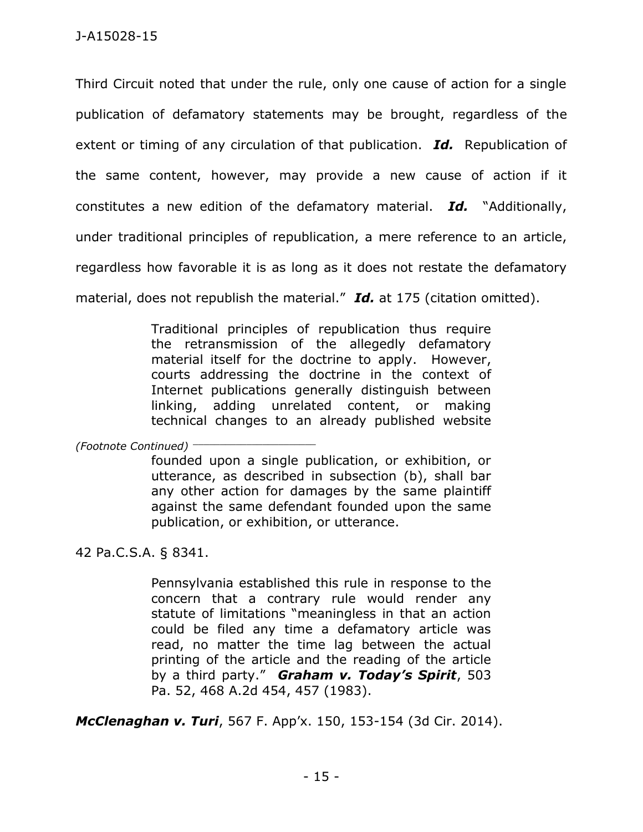Third Circuit noted that under the rule, only one cause of action for a single publication of defamatory statements may be brought, regardless of the extent or timing of any circulation of that publication. *Id.* Republication of the same content, however, may provide a new cause of action if it constitutes a new edition of the defamatory material. *Id.* "Additionally, under traditional principles of republication, a mere reference to an article, regardless how favorable it is as long as it does not restate the defamatory material, does not republish the material." *Id.* at 175 (citation omitted).

> Traditional principles of republication thus require the retransmission of the allegedly defamatory material itself for the doctrine to apply. However, courts addressing the doctrine in the context of Internet publications generally distinguish between linking, adding unrelated content, or making technical changes to an already published website

*(Footnote Continued)* \_\_\_\_\_\_\_\_\_\_\_\_\_\_\_\_\_\_\_\_\_\_\_

founded upon a single publication, or exhibition, or utterance, as described in subsection (b), shall bar any other action for damages by the same plaintiff against the same defendant founded upon the same publication, or exhibition, or utterance.

42 Pa.C.S.A. § 8341.

Pennsylvania established this rule in response to the concern that a contrary rule would render any statute of limitations "meaningless in that an action could be filed any time a defamatory article was read, no matter the time lag between the actual printing of the article and the reading of the article by a third party." *Graham v. Today's Spirit*, 503 Pa. 52, 468 A.2d 454, 457 (1983).

*McClenaghan v. Turi*, 567 F. App'x. 150, 153-154 (3d Cir. 2014).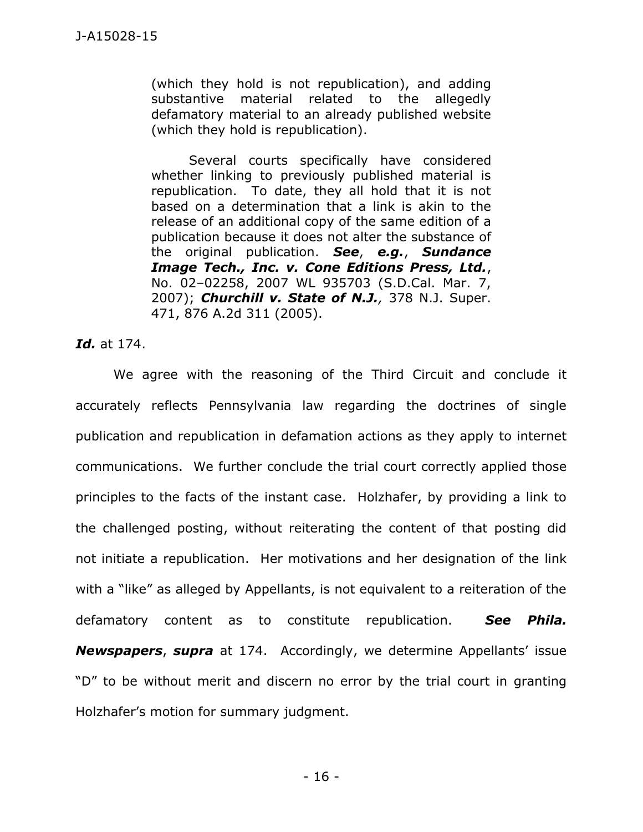(which they hold is not republication), and adding substantive material related to the allegedly defamatory material to an already published website (which they hold is republication).

Several courts specifically have considered whether linking to previously published material is republication. To date, they all hold that it is not based on a determination that a link is akin to the release of an additional copy of the same edition of a publication because it does not alter the substance of the original publication. *See*, *e.g.*, *Sundance Image Tech., Inc. v. Cone Editions Press, Ltd.*, No. 02–02258, 2007 WL 935703 (S.D.Cal. Mar. 7, 2007); *Churchill v. State of N.J.,* 378 N.J. Super. 471, 876 A.2d 311 (2005).

### *Id.* at 174.

We agree with the reasoning of the Third Circuit and conclude it accurately reflects Pennsylvania law regarding the doctrines of single publication and republication in defamation actions as they apply to internet communications. We further conclude the trial court correctly applied those principles to the facts of the instant case. Holzhafer, by providing a link to the challenged posting, without reiterating the content of that posting did not initiate a republication. Her motivations and her designation of the link with a "like" as alleged by Appellants, is not equivalent to a reiteration of the defamatory content as to constitute republication. *See Phila. Newspapers*, *supra* at 174. Accordingly, we determine Appellants' issue "D" to be without merit and discern no error by the trial court in granting Holzhafer's motion for summary judgment.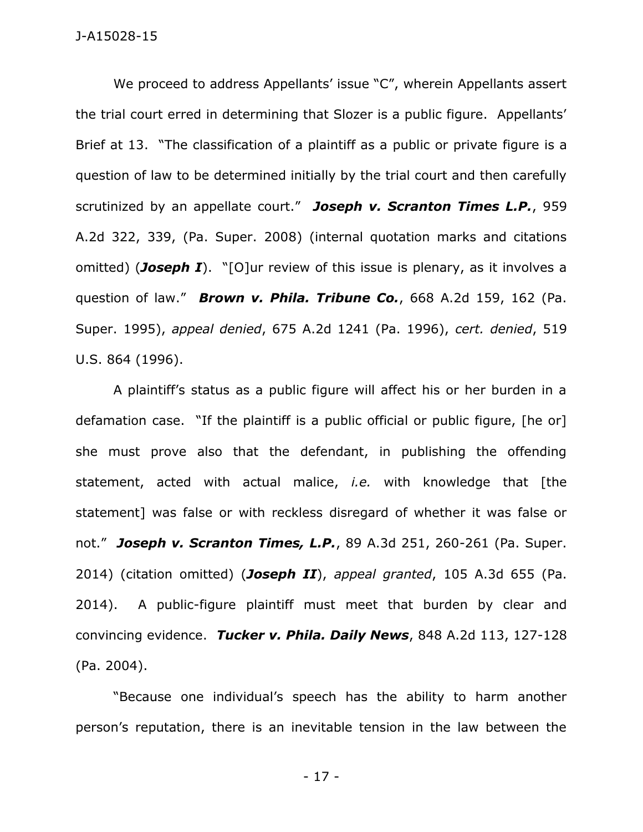We proceed to address Appellants' issue "C", wherein Appellants assert the trial court erred in determining that Slozer is a public figure. Appellants' Brief at 13. "The classification of a plaintiff as a public or private figure is a question of law to be determined initially by the trial court and then carefully scrutinized by an appellate court." *Joseph v. Scranton Times L.P.*, 959 A.2d 322, 339, (Pa. Super. 2008) (internal quotation marks and citations omitted) (*Joseph I*). "[O]ur review of this issue is plenary, as it involves a question of law." *Brown v. Phila. Tribune Co.*, 668 A.2d 159, 162 (Pa. Super. 1995), *appeal denied*, 675 A.2d 1241 (Pa. 1996), *cert. denied*, 519 U.S. 864 (1996).

A plaintiff's status as a public figure will affect his or her burden in a defamation case. "If the plaintiff is a public official or public figure, [he or] she must prove also that the defendant, in publishing the offending statement, acted with actual malice, *i.e.* with knowledge that [the statement] was false or with reckless disregard of whether it was false or not." *Joseph v. Scranton Times, L.P.*, 89 A.3d 251, 260-261 (Pa. Super. 2014) (citation omitted) (*Joseph II*), *appeal granted*, 105 A.3d 655 (Pa. 2014). A public-figure plaintiff must meet that burden by clear and convincing evidence. *Tucker v. Phila. Daily News*, 848 A.2d 113, 127-128 (Pa. 2004).

"Because one individual's speech has the ability to harm another person's reputation, there is an inevitable tension in the law between the

- 17 -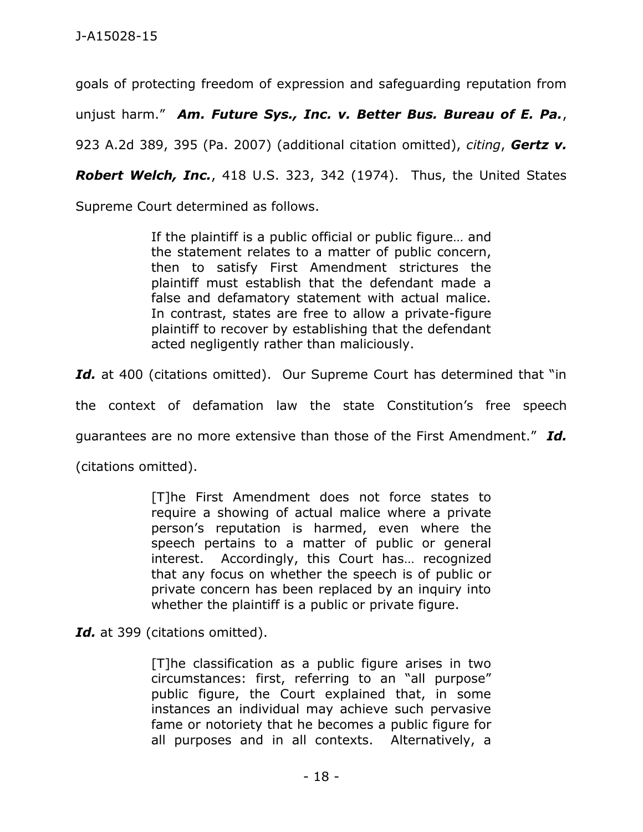goals of protecting freedom of expression and safeguarding reputation from

unjust harm." *Am. Future Sys., Inc. v. Better Bus. Bureau of E. Pa.*,

923 A.2d 389, 395 (Pa. 2007) (additional citation omitted), *citing*, *Gertz v.* 

*Robert Welch, Inc.*, 418 U.S. 323, 342 (1974). Thus, the United States

Supreme Court determined as follows.

If the plaintiff is a public official or public figure… and the statement relates to a matter of public concern, then to satisfy First Amendment strictures the plaintiff must establish that the defendant made a false and defamatory statement with actual malice. In contrast, states are free to allow a private-figure plaintiff to recover by establishing that the defendant acted negligently rather than maliciously.

Id. at 400 (citations omitted). Our Supreme Court has determined that "in

the context of defamation law the state Constitution's free speech

guarantees are no more extensive than those of the First Amendment." *Id.*

(citations omitted).

[T]he First Amendment does not force states to require a showing of actual malice where a private person's reputation is harmed, even where the speech pertains to a matter of public or general interest. Accordingly, this Court has… recognized that any focus on whether the speech is of public or private concern has been replaced by an inquiry into whether the plaintiff is a public or private figure.

Id. at 399 (citations omitted).

[T]he classification as a public figure arises in two circumstances: first, referring to an "all purpose" public figure, the Court explained that, in some instances an individual may achieve such pervasive fame or notoriety that he becomes a public figure for all purposes and in all contexts. Alternatively, a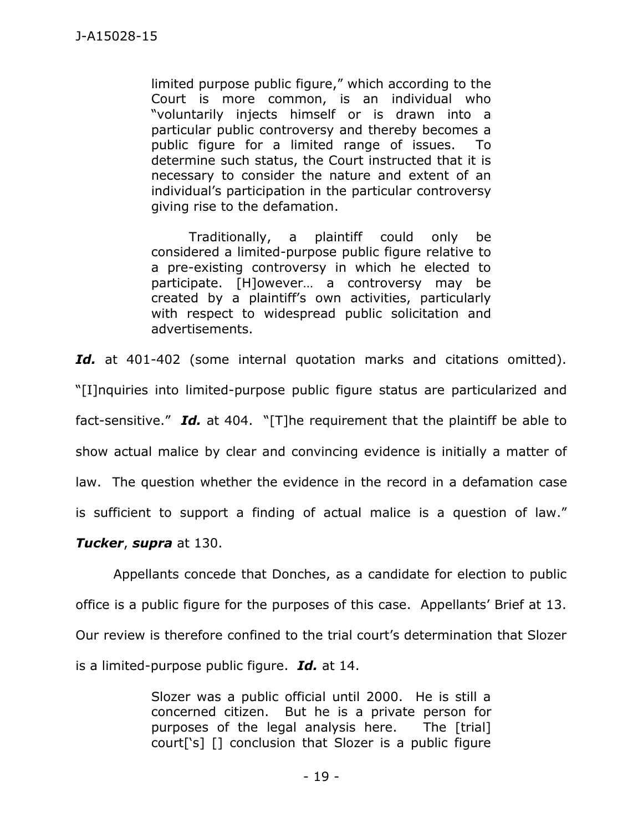limited purpose public figure," which according to the Court is more common, is an individual who "voluntarily injects himself or is drawn into a particular public controversy and thereby becomes a public figure for a limited range of issues. To determine such status, the Court instructed that it is necessary to consider the nature and extent of an individual's participation in the particular controversy giving rise to the defamation.

Traditionally, a plaintiff could only be considered a limited-purpose public figure relative to a pre-existing controversy in which he elected to participate. [H]owever… a controversy may be created by a plaintiff's own activities, particularly with respect to widespread public solicitation and advertisements.

Id. at 401-402 (some internal quotation marks and citations omitted). "[I]nquiries into limited-purpose public figure status are particularized and fact-sensitive." *Id.* at 404. "[T]he requirement that the plaintiff be able to show actual malice by clear and convincing evidence is initially a matter of law. The question whether the evidence in the record in a defamation case is sufficient to support a finding of actual malice is a question of law."

*Tucker*, *supra* at 130.

Appellants concede that Donches, as a candidate for election to public office is a public figure for the purposes of this case. Appellants' Brief at 13. Our review is therefore confined to the trial court's determination that Slozer is a limited-purpose public figure. *Id.* at 14.

> Slozer was a public official until 2000. He is still a concerned citizen. But he is a private person for purposes of the legal analysis here. The [trial] court['s] [] conclusion that Slozer is a public figure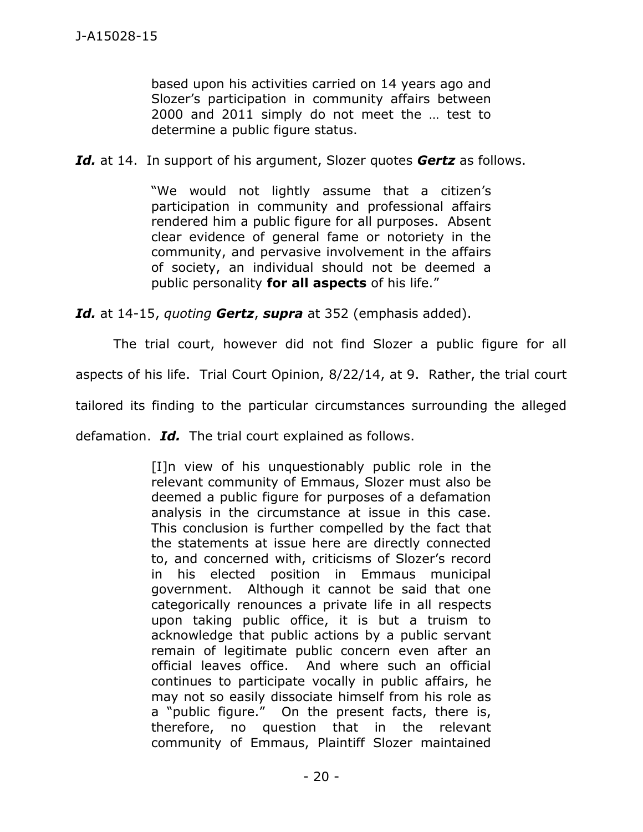based upon his activities carried on 14 years ago and Slozer's participation in community affairs between 2000 and 2011 simply do not meet the … test to determine a public figure status.

*Id.* at 14. In support of his argument, Slozer quotes *Gertz* as follows.

"We would not lightly assume that a citizen's participation in community and professional affairs rendered him a public figure for all purposes. Absent clear evidence of general fame or notoriety in the community, and pervasive involvement in the affairs of society, an individual should not be deemed a public personality **for all aspects** of his life."

*Id.* at 14-15, *quoting Gertz*, *supra* at 352 (emphasis added).

The trial court, however did not find Slozer a public figure for all

aspects of his life. Trial Court Opinion, 8/22/14, at 9. Rather, the trial court

tailored its finding to the particular circumstances surrounding the alleged

defamation. *Id.* The trial court explained as follows.

[I]n view of his unquestionably public role in the relevant community of Emmaus, Slozer must also be deemed a public figure for purposes of a defamation analysis in the circumstance at issue in this case. This conclusion is further compelled by the fact that the statements at issue here are directly connected to, and concerned with, criticisms of Slozer's record in his elected position in Emmaus municipal government. Although it cannot be said that one categorically renounces a private life in all respects upon taking public office, it is but a truism to acknowledge that public actions by a public servant remain of legitimate public concern even after an official leaves office. And where such an official continues to participate vocally in public affairs, he may not so easily dissociate himself from his role as a "public figure." On the present facts, there is, therefore, no question that in the relevant community of Emmaus, Plaintiff Slozer maintained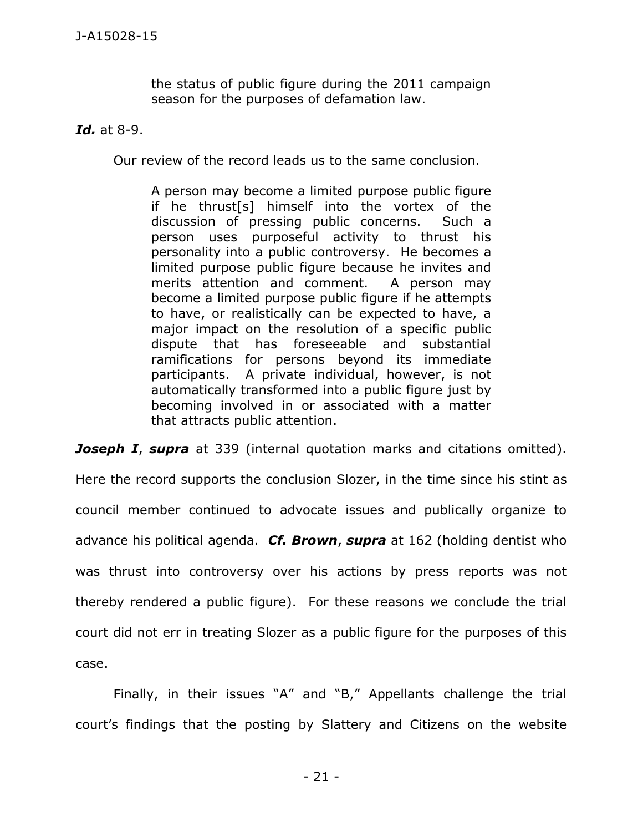the status of public figure during the 2011 campaign season for the purposes of defamation law.

*Id.* at 8-9.

Our review of the record leads us to the same conclusion.

A person may become a limited purpose public figure if he thrust[s] himself into the vortex of the discussion of pressing public concerns. Such a person uses purposeful activity to thrust his personality into a public controversy. He becomes a limited purpose public figure because he invites and merits attention and comment. A person may become a limited purpose public figure if he attempts to have, or realistically can be expected to have, a major impact on the resolution of a specific public dispute that has foreseeable and substantial ramifications for persons beyond its immediate participants. A private individual, however, is not automatically transformed into a public figure just by becoming involved in or associated with a matter that attracts public attention.

**Joseph I, supra** at 339 (internal quotation marks and citations omitted). Here the record supports the conclusion Slozer, in the time since his stint as council member continued to advocate issues and publically organize to advance his political agenda. *Cf. Brown*, *supra* at 162 (holding dentist who was thrust into controversy over his actions by press reports was not thereby rendered a public figure). For these reasons we conclude the trial court did not err in treating Slozer as a public figure for the purposes of this case.

Finally, in their issues "A" and "B," Appellants challenge the trial court's findings that the posting by Slattery and Citizens on the website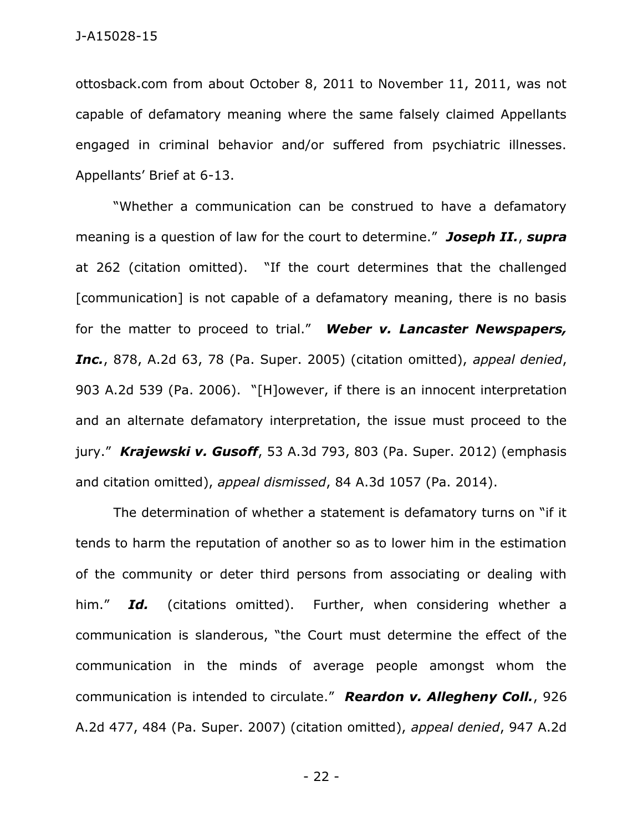ottosback.com from about October 8, 2011 to November 11, 2011, was not capable of defamatory meaning where the same falsely claimed Appellants engaged in criminal behavior and/or suffered from psychiatric illnesses. Appellants' Brief at 6-13.

"Whether a communication can be construed to have a defamatory meaning is a question of law for the court to determine." *Joseph II.*, *supra*  at 262 (citation omitted). "If the court determines that the challenged [communication] is not capable of a defamatory meaning, there is no basis for the matter to proceed to trial." *Weber v. Lancaster Newspapers, Inc.*, 878, A.2d 63, 78 (Pa. Super. 2005) (citation omitted), *appeal denied*, 903 A.2d 539 (Pa. 2006). "[H]owever, if there is an innocent interpretation and an alternate defamatory interpretation, the issue must proceed to the jury." *Krajewski v. Gusoff*, 53 A.3d 793, 803 (Pa. Super. 2012) (emphasis and citation omitted), *appeal dismissed*, 84 A.3d 1057 (Pa. 2014).

The determination of whether a statement is defamatory turns on "if it tends to harm the reputation of another so as to lower him in the estimation of the community or deter third persons from associating or dealing with him." *Id.* (citations omitted). Further, when considering whether a communication is slanderous, "the Court must determine the effect of the communication in the minds of average people amongst whom the communication is intended to circulate." *Reardon v. Allegheny Coll.*, 926 A.2d 477, 484 (Pa. Super. 2007) (citation omitted), *appeal denied*, 947 A.2d

- 22 -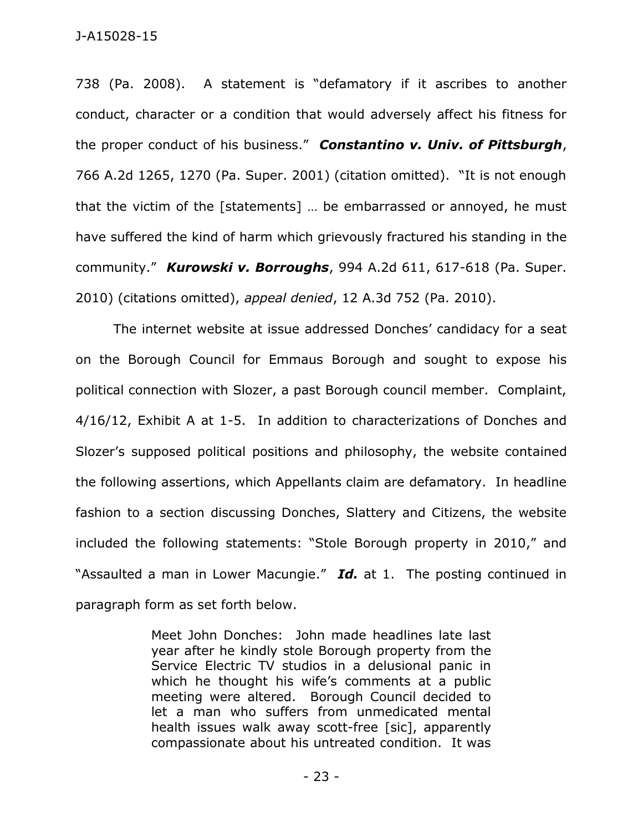738 (Pa. 2008). A statement is "defamatory if it ascribes to another conduct, character or a condition that would adversely affect his fitness for the proper conduct of his business." *Constantino v. Univ. of Pittsburgh*, 766 A.2d 1265, 1270 (Pa. Super. 2001) (citation omitted). "It is not enough that the victim of the [statements] … be embarrassed or annoyed, he must have suffered the kind of harm which grievously fractured his standing in the community." *Kurowski v. Borroughs*, 994 A.2d 611, 617-618 (Pa. Super. 2010) (citations omitted), *appeal denied*, 12 A.3d 752 (Pa. 2010).

The internet website at issue addressed Donches' candidacy for a seat on the Borough Council for Emmaus Borough and sought to expose his political connection with Slozer, a past Borough council member. Complaint, 4/16/12, Exhibit A at 1-5. In addition to characterizations of Donches and Slozer's supposed political positions and philosophy, the website contained the following assertions, which Appellants claim are defamatory. In headline fashion to a section discussing Donches, Slattery and Citizens, the website included the following statements: "Stole Borough property in 2010," and "Assaulted a man in Lower Macungie." *Id.* at 1. The posting continued in paragraph form as set forth below.

> Meet John Donches: John made headlines late last year after he kindly stole Borough property from the Service Electric TV studios in a delusional panic in which he thought his wife's comments at a public meeting were altered. Borough Council decided to let a man who suffers from unmedicated mental health issues walk away scott-free [sic], apparently compassionate about his untreated condition. It was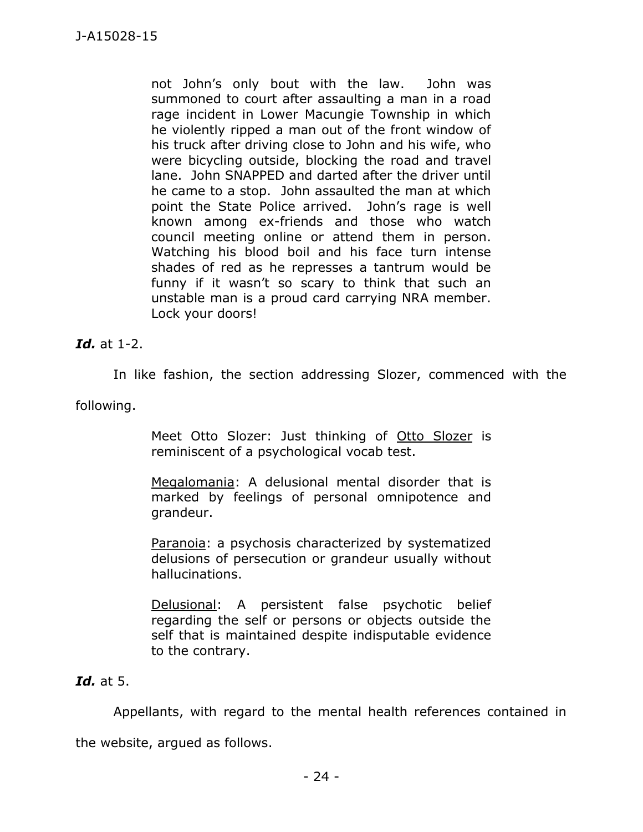not John's only bout with the law. John was summoned to court after assaulting a man in a road rage incident in Lower Macungie Township in which he violently ripped a man out of the front window of his truck after driving close to John and his wife, who were bicycling outside, blocking the road and travel lane. John SNAPPED and darted after the driver until he came to a stop. John assaulted the man at which point the State Police arrived. John's rage is well known among ex-friends and those who watch council meeting online or attend them in person. Watching his blood boil and his face turn intense shades of red as he represses a tantrum would be funny if it wasn't so scary to think that such an unstable man is a proud card carrying NRA member. Lock your doors!

## *Id.* at 1-2.

In like fashion, the section addressing Slozer, commenced with the

following.

Meet Otto Slozer: Just thinking of Otto Slozer is reminiscent of a psychological vocab test.

Megalomania: A delusional mental disorder that is marked by feelings of personal omnipotence and grandeur.

Paranoia: a psychosis characterized by systematized delusions of persecution or grandeur usually without hallucinations.

Delusional: A persistent false psychotic belief regarding the self or persons or objects outside the self that is maintained despite indisputable evidence to the contrary.

## *Id.* at 5.

Appellants, with regard to the mental health references contained in

the website, argued as follows.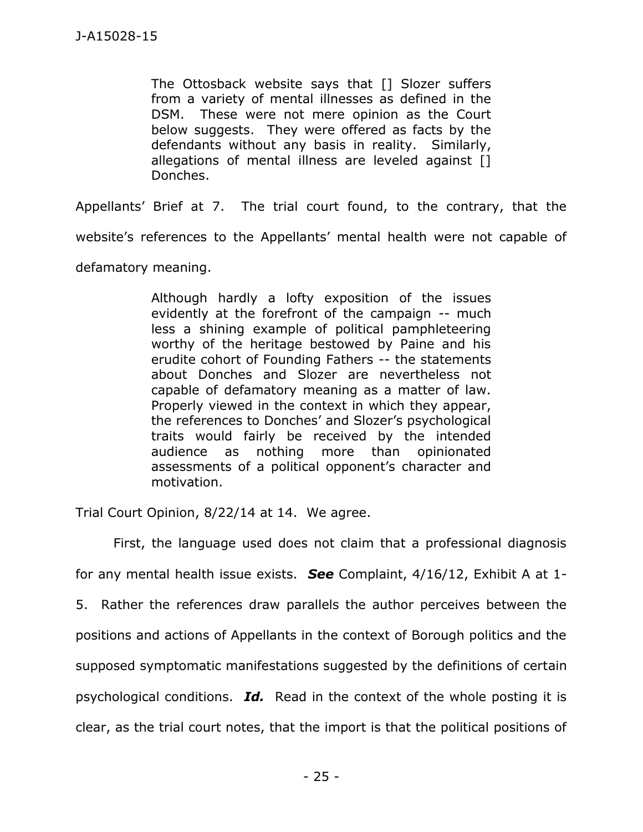The Ottosback website says that [] Slozer suffers from a variety of mental illnesses as defined in the DSM. These were not mere opinion as the Court below suggests. They were offered as facts by the defendants without any basis in reality. Similarly, allegations of mental illness are leveled against [] Donches.

Appellants' Brief at 7. The trial court found, to the contrary, that the website's references to the Appellants' mental health were not capable of defamatory meaning.

> Although hardly a lofty exposition of the issues evidently at the forefront of the campaign -- much less a shining example of political pamphleteering worthy of the heritage bestowed by Paine and his erudite cohort of Founding Fathers -- the statements about Donches and Slozer are nevertheless not capable of defamatory meaning as a matter of law. Properly viewed in the context in which they appear, the references to Donches' and Slozer's psychological traits would fairly be received by the intended audience as nothing more than opinionated assessments of a political opponent's character and motivation.

Trial Court Opinion, 8/22/14 at 14. We agree.

First, the language used does not claim that a professional diagnosis for any mental health issue exists. *See* Complaint, 4/16/12, Exhibit A at 1- 5. Rather the references draw parallels the author perceives between the positions and actions of Appellants in the context of Borough politics and the supposed symptomatic manifestations suggested by the definitions of certain psychological conditions. *Id.* Read in the context of the whole posting it is clear, as the trial court notes, that the import is that the political positions of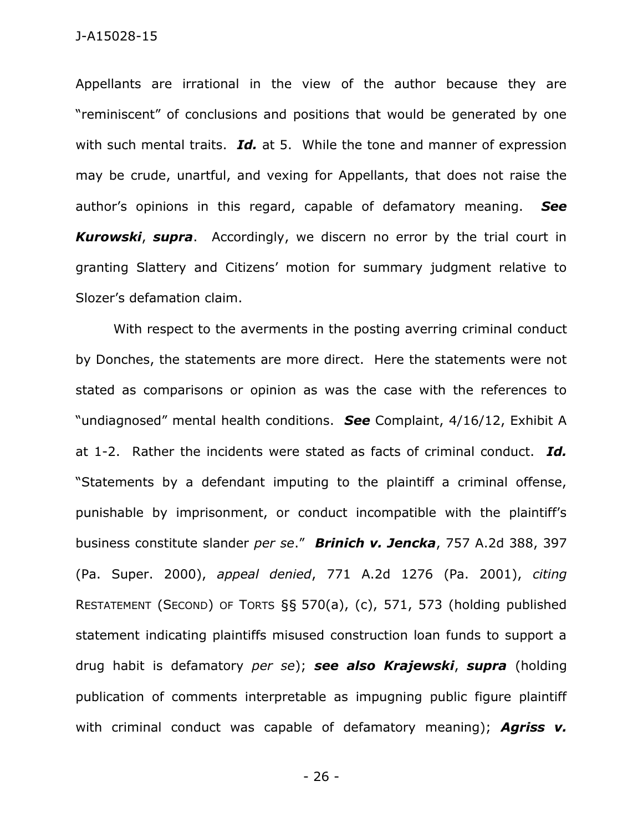Appellants are irrational in the view of the author because they are "reminiscent" of conclusions and positions that would be generated by one with such mental traits. *Id.* at 5. While the tone and manner of expression may be crude, unartful, and vexing for Appellants, that does not raise the author's opinions in this regard, capable of defamatory meaning. *See Kurowski*, *supra*. Accordingly, we discern no error by the trial court in granting Slattery and Citizens' motion for summary judgment relative to Slozer's defamation claim.

With respect to the averments in the posting averring criminal conduct by Donches, the statements are more direct. Here the statements were not stated as comparisons or opinion as was the case with the references to "undiagnosed" mental health conditions. *See* Complaint, 4/16/12, Exhibit A at 1-2. Rather the incidents were stated as facts of criminal conduct. *Id.* "Statements by a defendant imputing to the plaintiff a criminal offense, punishable by imprisonment, or conduct incompatible with the plaintiff's business constitute slander *per se*." *Brinich v. Jencka*, 757 A.2d 388, 397 (Pa. Super. 2000), *appeal denied*, 771 A.2d 1276 (Pa. 2001), *citing* RESTATEMENT (SECOND) OF TORTS §§ 570(a), (c), 571, 573 (holding published statement indicating plaintiffs misused construction loan funds to support a drug habit is defamatory *per se*); *see also Krajewski*, *supra* (holding publication of comments interpretable as impugning public figure plaintiff with criminal conduct was capable of defamatory meaning); *Agriss v.* 

- 26 -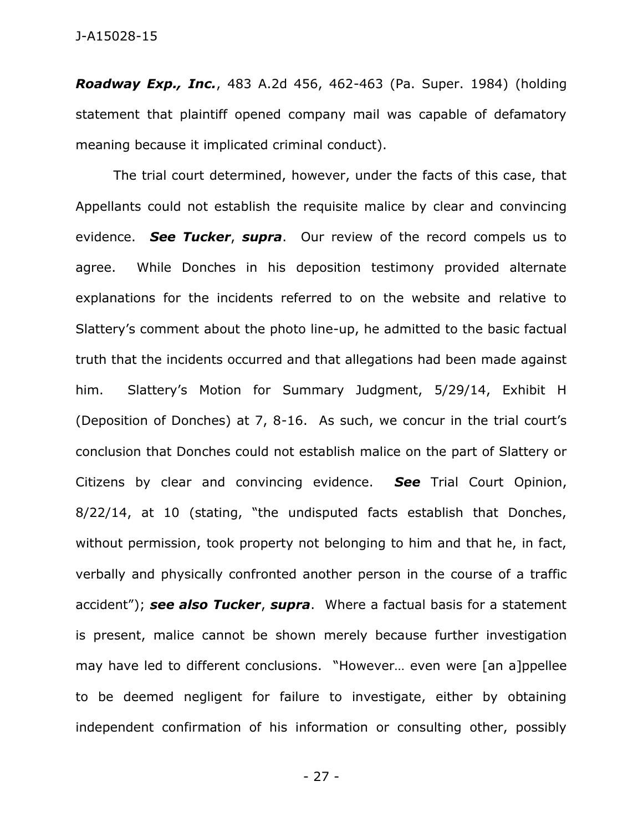#### J-A15028-15

*Roadway Exp., Inc.*, 483 A.2d 456, 462-463 (Pa. Super. 1984) (holding statement that plaintiff opened company mail was capable of defamatory meaning because it implicated criminal conduct).

The trial court determined, however, under the facts of this case, that Appellants could not establish the requisite malice by clear and convincing evidence. *See Tucker*, *supra*. Our review of the record compels us to agree. While Donches in his deposition testimony provided alternate explanations for the incidents referred to on the website and relative to Slattery's comment about the photo line-up, he admitted to the basic factual truth that the incidents occurred and that allegations had been made against him. Slattery's Motion for Summary Judgment, 5/29/14, Exhibit H (Deposition of Donches) at 7, 8-16. As such, we concur in the trial court's conclusion that Donches could not establish malice on the part of Slattery or Citizens by clear and convincing evidence. *See* Trial Court Opinion, 8/22/14, at 10 (stating, "the undisputed facts establish that Donches, without permission, took property not belonging to him and that he, in fact, verbally and physically confronted another person in the course of a traffic accident"); *see also Tucker*, *supra*. Where a factual basis for a statement is present, malice cannot be shown merely because further investigation may have led to different conclusions. "However… even were [an a]ppellee to be deemed negligent for failure to investigate, either by obtaining independent confirmation of his information or consulting other, possibly

- 27 -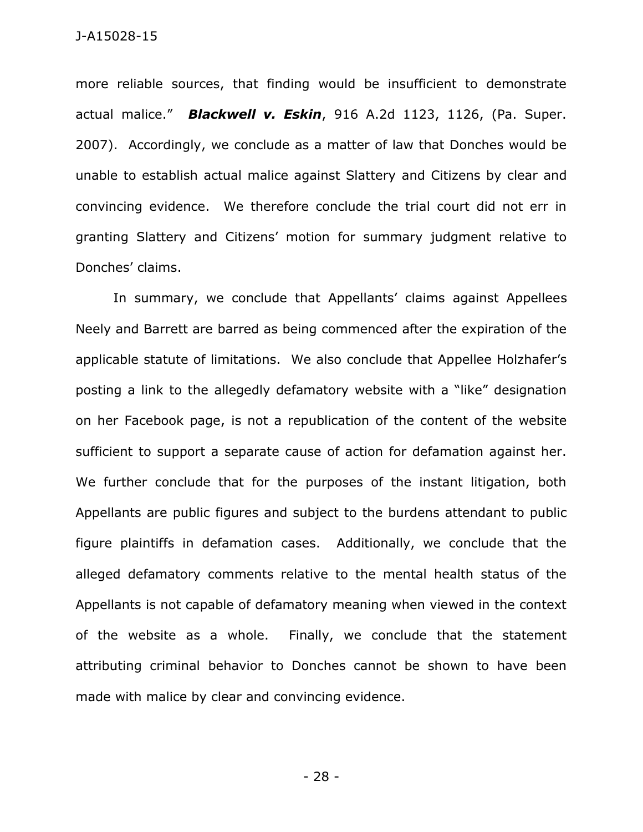more reliable sources, that finding would be insufficient to demonstrate actual malice." *Blackwell v. Eskin*, 916 A.2d 1123, 1126, (Pa. Super. 2007). Accordingly, we conclude as a matter of law that Donches would be unable to establish actual malice against Slattery and Citizens by clear and convincing evidence. We therefore conclude the trial court did not err in granting Slattery and Citizens' motion for summary judgment relative to Donches' claims.

In summary, we conclude that Appellants' claims against Appellees Neely and Barrett are barred as being commenced after the expiration of the applicable statute of limitations. We also conclude that Appellee Holzhafer's posting a link to the allegedly defamatory website with a "like" designation on her Facebook page, is not a republication of the content of the website sufficient to support a separate cause of action for defamation against her. We further conclude that for the purposes of the instant litigation, both Appellants are public figures and subject to the burdens attendant to public figure plaintiffs in defamation cases. Additionally, we conclude that the alleged defamatory comments relative to the mental health status of the Appellants is not capable of defamatory meaning when viewed in the context of the website as a whole. Finally, we conclude that the statement attributing criminal behavior to Donches cannot be shown to have been made with malice by clear and convincing evidence.